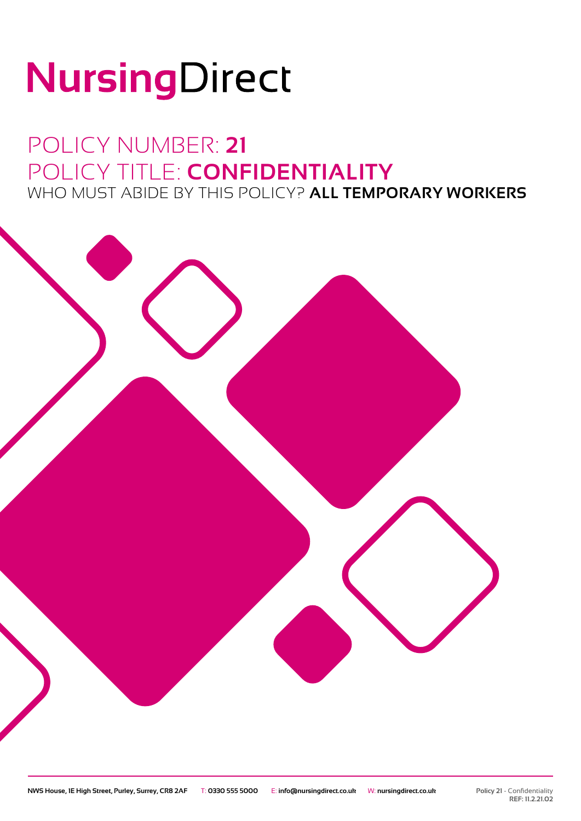# NursingDirect

### POLICY NUMBER: **21** POLICY TITLE: **CONFIDENTIALITY** WHO MUST ABIDE BY THIS POLICY? **ALL TEMPORARY WORKERS**